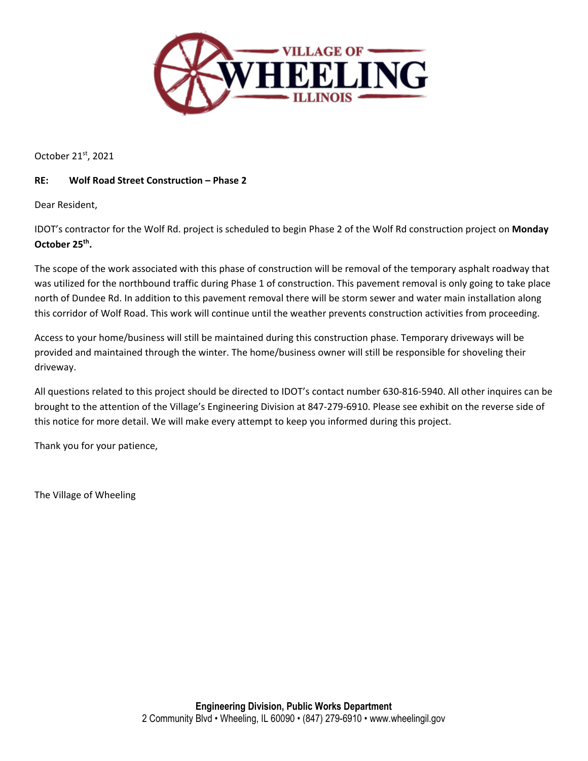

October 21st, 2021

## **RE: Wolf Road Street Construction – Phase 2**

Dear Resident,

IDOT's contractor for the Wolf Rd. project is scheduled to begin Phase 2 of the Wolf Rd construction project on **Monday October 25th.**

The scope of the work associated with this phase of construction will be removal of the temporary asphalt roadway that was utilized for the northbound traffic during Phase 1 of construction. This pavement removal is only going to take place north of Dundee Rd. In addition to this pavement removal there will be storm sewer and water main installation along this corridor of Wolf Road. This work will continue until the weather prevents construction activities from proceeding.

Access to your home/business will still be maintained during this construction phase. Temporary driveways will be provided and maintained through the winter. The home/business owner will still be responsible for shoveling their driveway.

All questions related to this project should be directed to IDOT's contact number 630-816-5940. All other inquires can be brought to the attention of the Village's Engineering Division at 847-279-6910. Please see exhibit on the reverse side of this notice for more detail. We will make every attempt to keep you informed during this project.

Thank you for your patience,

The Village of Wheeling